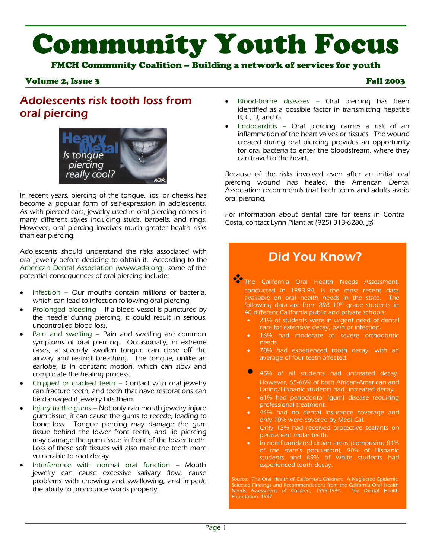# Community Youth Focus

FMCH Community Coalition – Building a network of services for youth

#### Volume 2, Issue 3 Fall 2003

#### Adolescents risk tooth loss from oral piercing



In recent years, piercing of the tongue, lips, or cheeks has become a popular form of self-expression in adolescents. As with pierced ears, jewelry used in oral piercing comes in many different styles including studs, barbells, and rings. However, oral piercing involves much greater health risks than ear piercing.

Adolescents should understand the risks associated with oral jewelry before deciding to obtain it. According to the American Dental Association (www.ada.org), some of the potential consequences of oral piercing include:

- Infection Our mouths contain millions of bacteria, which can lead to infection following oral piercing.
- Prolonged bleeding If a blood vessel is punctured by the needle during piercing, it could result in serious, uncontrolled blood loss.
- Pain and swelling Pain and swelling are common symptoms of oral piercing. Occasionally, in extreme cases, a severely swollen tongue can close off the airway and restrict breathing. The tongue, unlike an earlobe, is in constant motion, which can slow and complicate the healing process.
- Chipped or cracked teeth Contact with oral jewelry can fracture teeth, and teeth that have restorations can be damaged if jewelry hits them.
- Injury to the gums Not only can mouth jewelry injure gum tissue, it can cause the gums to recede, leading to bone loss. Tongue piercing may damage the gum tissue behind the lower front teeth, and lip piercing may damage the gum tissue in front of the lower teeth. Loss of these soft tissues will also make the teeth more vulnerable to root decay.
- Interference with normal oral function Mouth jewelry can cause excessive salivary flow, cause problems with chewing and swallowing, and impede the ability to pronounce words properly.
- Blood-borne diseases Oral piercing has been identified as a possible factor in transmitting hepatitis B, C, D, and G.
- Endocarditis Oral piercing carries a risk of an inflammation of the heart valves or tissues. The wound created during oral piercing provides an opportunity for oral bacteria to enter the bloodstream, where they can travel to the heart.

Because of the risks involved even after an initial oral piercing wound has healed, the American Dental Association recommends that both teens and adults avoid oral piercing.

For information about dental care for teens in Contra Costa, contact Lynn Pilant at (925) 313-6280.

#### Did You Know?

The California Oral Health Needs Assessment, conducted in 1993-94, is the most recent data available on oral health needs in the state. The following data are from 898  $10<sup>th</sup>$  grade students in 40 different California public and private schools:

- 21% of students were in urgent need of dental care for extensive decay, pain or infection.
- 16% had moderate to severe orthodontic needs.
- 78% had experienced tooth decay, with an average of four teeth affected.
- **Q** 45% of all students had untreated decay. However, 65-66% of both African-American and Latino/Hispanic students had untreated decay.
- 61% had periodontal (gum) disease requiring professional treatment.
- 44% had no dental insurance coverage and only 10% were covered by Medi-Cal.
- Only 13% had received protective sealants on permanent molar teeth.
- In non-fluoridated urban areas (comprising 84% of the state's population), 90% of Hispanic students and 69% of white students had experienced tooth decay.

Source: The Oral Health of California's Children: A Neglected Epidemic. Selected Findings and Recommendations from the California Oral Health Needs Assessment of Children, 1993-1994. The Dental Health Foundation, 1997.